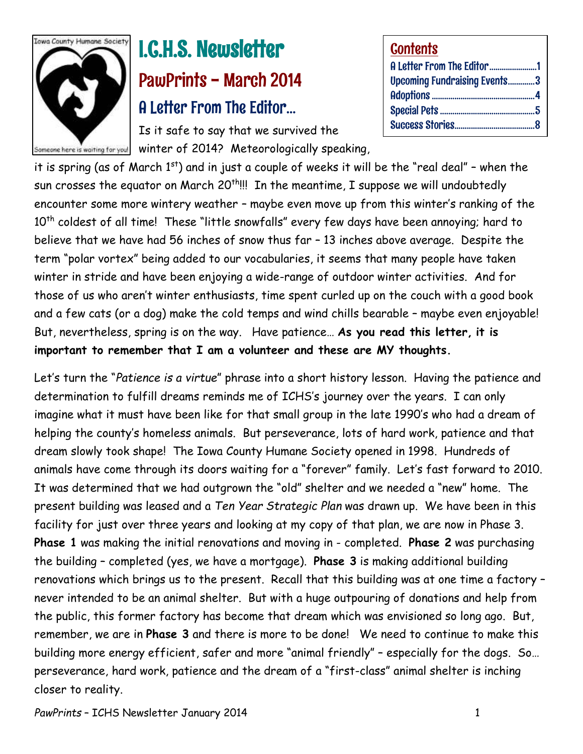

# I.C.H.S. Newsletter PawPrints - March 2014 A Letter From The Editor…

Is it safe to say that we survived the Someone here is waiting for you! winter of 2014? Meteorologically speaking,

| <b>Contents</b>                     |  |
|-------------------------------------|--|
| A Letter From The Editor1           |  |
| <b>Upcoming Fundraising Events3</b> |  |
|                                     |  |
|                                     |  |
|                                     |  |

it is spring (as of March  $1<sup>st</sup>$ ) and in just a couple of weeks it will be the "real deal" - when the sun crosses the equator on March 20<sup>th</sup>!!! In the meantime, I suppose we will undoubtedly encounter some more wintery weather – maybe even move up from this winter's ranking of the 10<sup>th</sup> coldest of all time! These "little snowfalls" every few days have been annoying; hard to believe that we have had 56 inches of snow thus far – 13 inches above average. Despite the term "polar vortex" being added to our vocabularies, it seems that many people have taken winter in stride and have been enjoying a wide-range of outdoor winter activities. And for those of us who aren't winter enthusiasts, time spent curled up on the couch with a good book and a few cats (or a dog) make the cold temps and wind chills bearable – maybe even enjoyable! But, nevertheless, spring is on the way. Have patience… **As you read this letter, it is important to remember that I am a volunteer and these are MY thoughts.**

Let's turn the "*Patience is a virtue*" phrase into a short history lesson. Having the patience and determination to fulfill dreams reminds me of ICHS's journey over the years. I can only imagine what it must have been like for that small group in the late 1990's who had a dream of helping the county's homeless animals. But perseverance, lots of hard work, patience and that dream slowly took shape! The Iowa County Humane Society opened in 1998. Hundreds of animals have come through its doors waiting for a "forever" family. Let's fast forward to 2010. It was determined that we had outgrown the "old" shelter and we needed a "new" home. The present building was leased and a *Ten Year Strategic Plan* was drawn up. We have been in this facility for just over three years and looking at my copy of that plan, we are now in Phase 3. **Phase 1** was making the initial renovations and moving in - completed. **Phase 2** was purchasing the building – completed (yes, we have a mortgage). **Phase 3** is making additional building renovations which brings us to the present. Recall that this building was at one time a factory – never intended to be an animal shelter. But with a huge outpouring of donations and help from the public, this former factory has become that dream which was envisioned so long ago. But, remember, we are in **Phase 3** and there is more to be done! We need to continue to make this building more energy efficient, safer and more "animal friendly" – especially for the dogs. So… perseverance, hard work, patience and the dream of a "first-class" animal shelter is inching closer to reality.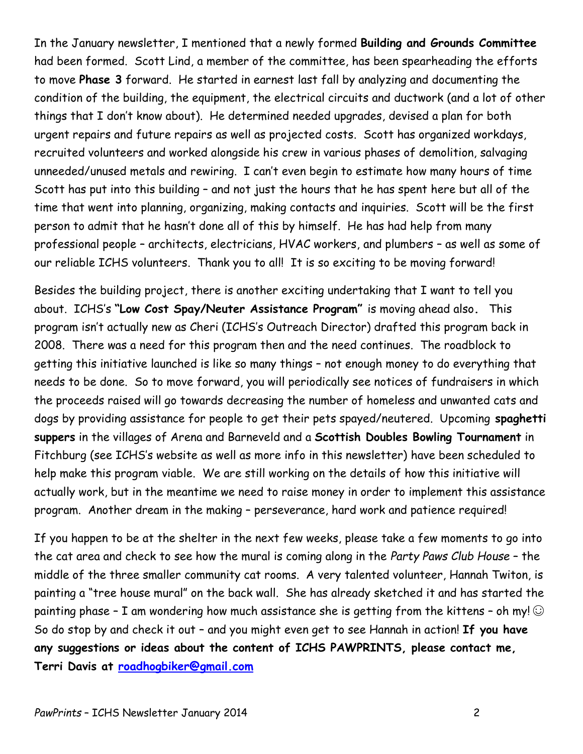In the January newsletter, I mentioned that a newly formed **Building and Grounds Committee** had been formed. Scott Lind, a member of the committee, has been spearheading the efforts to move **Phase 3** forward. He started in earnest last fall by analyzing and documenting the condition of the building, the equipment, the electrical circuits and ductwork (and a lot of other things that I don't know about). He determined needed upgrades, devised a plan for both urgent repairs and future repairs as well as projected costs. Scott has organized workdays, recruited volunteers and worked alongside his crew in various phases of demolition, salvaging unneeded/unused metals and rewiring. I can't even begin to estimate how many hours of time Scott has put into this building – and not just the hours that he has spent here but all of the time that went into planning, organizing, making contacts and inquiries. Scott will be the first person to admit that he hasn't done all of this by himself. He has had help from many professional people – architects, electricians, HVAC workers, and plumbers – as well as some of our reliable ICHS volunteers. Thank you to all! It is so exciting to be moving forward!

Besides the building project, there is another exciting undertaking that I want to tell you about. ICHS's **"Low Cost Spay/Neuter Assistance Program"** is moving ahead also**.** This program isn't actually new as Cheri (ICHS's Outreach Director) drafted this program back in 2008. There was a need for this program then and the need continues. The roadblock to getting this initiative launched is like so many things – not enough money to do everything that needs to be done. So to move forward, you will periodically see notices of fundraisers in which the proceeds raised will go towards decreasing the number of homeless and unwanted cats and dogs by providing assistance for people to get their pets spayed/neutered. Upcoming **spaghetti suppers** in the villages of Arena and Barneveld and a **Scottish Doubles Bowling Tournament** in Fitchburg (see ICHS's website as well as more info in this newsletter) have been scheduled to help make this program viable. We are still working on the details of how this initiative will actually work, but in the meantime we need to raise money in order to implement this assistance program. Another dream in the making – perseverance, hard work and patience required!

If you happen to be at the shelter in the next few weeks, please take a few moments to go into the cat area and check to see how the mural is coming along in the *Party Paws Club House* – the middle of the three smaller community cat rooms. A very talented volunteer, Hannah Twiton, is painting a "tree house mural" on the back wall. She has already sketched it and has started the painting phase - I am wondering how much assistance she is getting from the kittens - oh my!  $\odot$ So do stop by and check it out – and you might even get to see Hannah in action! **If you have any suggestions or ideas about the content of ICHS PAWPRINTS, please contact me, Terri Davis at [roadhogbiker@gmail.com](mailto:roadhogbiker@gmail.com)**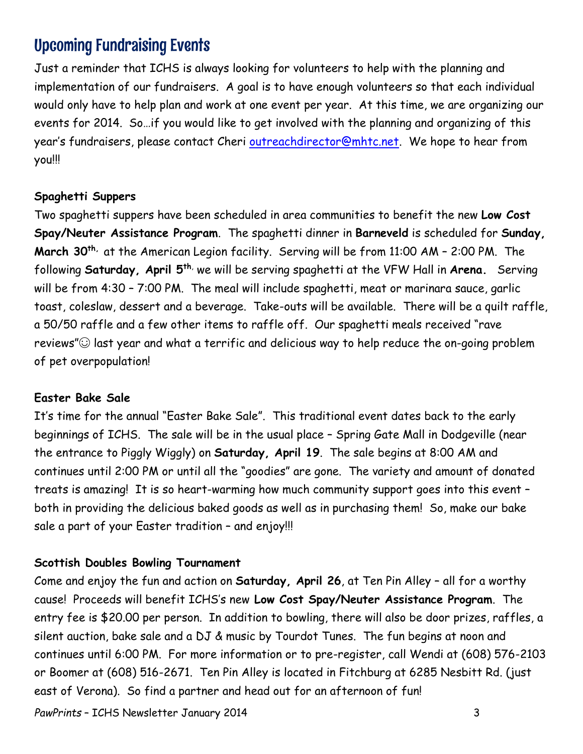## Upcoming Fundraising Events

Just a reminder that ICHS is always looking for volunteers to help with the planning and implementation of our fundraisers. A goal is to have enough volunteers so that each individual would only have to help plan and work at one event per year. At this time, we are organizing our events for 2014. So…if you would like to get involved with the planning and organizing of this year's fundraisers, please contact Cheri [outreachdirector@mhtc.net.](mailto:outreachdirector@mhtc.net) We hope to hear from you!!!

#### **Spaghetti Suppers**

Two spaghetti suppers have been scheduled in area communities to benefit the new **Low Cost Spay/Neuter Assistance Program**. The spaghetti dinner in **Barneveld** is scheduled for **Sunday, March 30th,** at the American Legion facility. Serving will be from 11:00 AM – 2:00 PM. The following **Saturday, April 5th**, we will be serving spaghetti at the VFW Hall in **Arena.** Serving will be from 4:30 – 7:00 PM. The meal will include spaghetti, meat or marinara sauce, garlic toast, coleslaw, dessert and a beverage. Take-outs will be available. There will be a quilt raffle, a 50/50 raffle and a few other items to raffle off. Our spaghetti meals received "rave reviews" $\odot$  last year and what a terrific and delicious way to help reduce the on-going problem of pet overpopulation!

#### **Easter Bake Sale**

It's time for the annual "Easter Bake Sale". This traditional event dates back to the early beginnings of ICHS. The sale will be in the usual place – Spring Gate Mall in Dodgeville (near the entrance to Piggly Wiggly) on **Saturday, April 19**. The sale begins at 8:00 AM and continues until 2:00 PM or until all the "goodies" are gone. The variety and amount of donated treats is amazing! It is so heart-warming how much community support goes into this event – both in providing the delicious baked goods as well as in purchasing them! So, make our bake sale a part of your Easter tradition – and enjoy!!!

#### **Scottish Doubles Bowling Tournament**

Come and enjoy the fun and action on **Saturday, April 26**, at Ten Pin Alley – all for a worthy cause! Proceeds will benefit ICHS's new **Low Cost Spay/Neuter Assistance Program**. The entry fee is \$20.00 per person. In addition to bowling, there will also be door prizes, raffles, a silent auction, bake sale and a DJ & music by Tourdot Tunes. The fun begins at noon and continues until 6:00 PM. For more information or to pre-register, call Wendi at (608) 576-2103 or Boomer at (608) 516-2671. Ten Pin Alley is located in Fitchburg at 6285 Nesbitt Rd. (just east of Verona). So find a partner and head out for an afternoon of fun!

PawPrints – ICHS Newsletter January 2014 **3**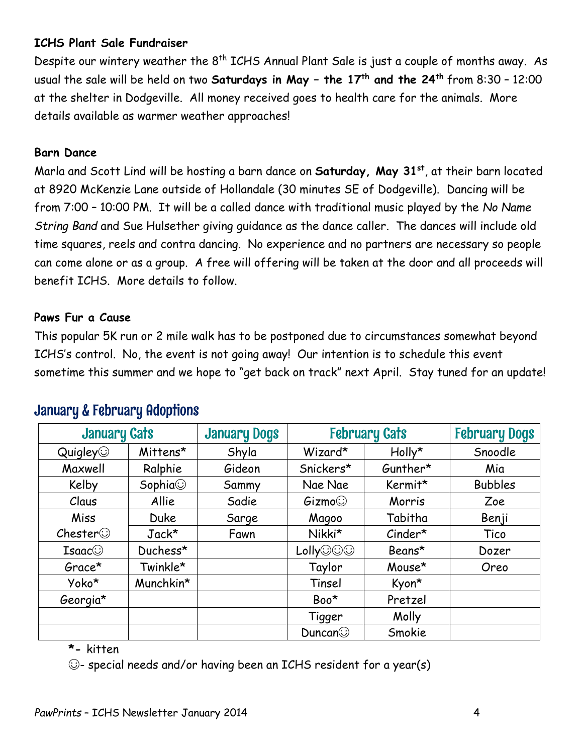### **ICHS Plant Sale Fundraiser**

Despite our wintery weather the 8<sup>th</sup> ICHS Annual Plant Sale is just a couple of months away. As usual the sale will be held on two **Saturdays in May – the 17th and the 24th** from 8:30 – 12:00 at the shelter in Dodgeville. All money received goes to health care for the animals. More details available as warmer weather approaches!

### **Barn Dance**

Marla and Scott Lind will be hosting a barn dance on **Saturday, May 31st**, at their barn located at 8920 McKenzie Lane outside of Hollandale (30 minutes SE of Dodgeville). Dancing will be from 7:00 – 10:00 PM. It will be a called dance with traditional music played by the *No Name String Band* and Sue Hulsether giving guidance as the dance caller. The dances will include old time squares, reels and contra dancing. No experience and no partners are necessary so people can come alone or as a group. A free will offering will be taken at the door and all proceeds will benefit ICHS. More details to follow.

#### **Paws Fur a Cause**

This popular 5K run or 2 mile walk has to be postponed due to circumstances somewhat beyond ICHS's control. No, the event is not going away! Our intention is to schedule this event sometime this summer and we hope to "get back on track" next April. Stay tuned for an update!

| <b>January Cats</b>      |                | <b>January Dogs</b> | <b>February Cats</b> |           | <b>February Dogs</b> |
|--------------------------|----------------|---------------------|----------------------|-----------|----------------------|
| $\mathsf{Quigley} \odot$ | Mittens*       | Shyla               | Wizard*              | Holly*    | Snoodle              |
| Maxwell                  | Ralphie        | Gideon              | Snickers*            | Gunther*  | Mia                  |
| Kelby                    | Sophia $\odot$ | Sammy               | Nae Nae              | Kermit*   | <b>Bubbles</b>       |
| Claus                    | Allie          | Sadie               | Gizmo                | Morris    | Zoe                  |
| Miss                     | <b>Duke</b>    | Sarge               | Magoo                | Tabitha   | Benji                |
| $\mathsf{Chester} \odot$ | $Jack*$        | Fawn                | Nikki*               | $Cinder*$ | Tico                 |
| Isaac@                   | Duchess*       |                     | Lolly©©©             | Beans*    | Dozer                |
| Grace*                   | Twinkle*       |                     | Taylor               | Mouse*    | Oreo                 |
| Yoko*                    | Munchkin*      |                     | Tinsel               | Kyon*     |                      |
| Georgia*                 |                |                     | Boo*                 | Pretzel   |                      |
|                          |                |                     | Tigger               | Molly     |                      |
|                          |                |                     | Duncan               | Smokie    |                      |

### January & February Adoptions

**\*-** kitten

☺- special needs and/or having been an ICHS resident for a year(s)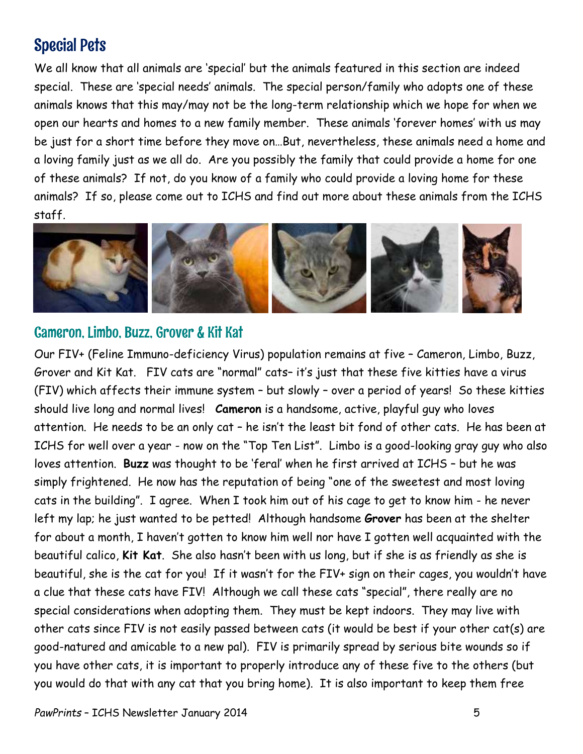# Special Pets

We all know that all animals are 'special' but the animals featured in this section are indeed special. These are 'special needs' animals. The special person/family who adopts one of these animals knows that this may/may not be the long-term relationship which we hope for when we open our hearts and homes to a new family member. These animals 'forever homes' with us may be just for a short time before they move on…But, nevertheless, these animals need a home and a loving family just as we all do. Are you possibly the family that could provide a home for one of these animals? If not, do you know of a family who could provide a loving home for these animals? If so, please come out to ICHS and find out more about these animals from the ICHS staff.



### Cameron, Limbo, Buzz, Grover & Kit Kat

Our FIV+ (Feline Immuno-deficiency Virus) population remains at five – Cameron, Limbo, Buzz, Grover and Kit Kat. FIV cats are "normal" cats– it's just that these five kitties have a virus (FIV) which affects their immune system – but slowly – over a period of years! So these kitties should live long and normal lives! **Cameron** is a handsome, active, playful guy who loves attention. He needs to be an only cat – he isn't the least bit fond of other cats. He has been at ICHS for well over a year - now on the "Top Ten List". Limbo is a good-looking gray guy who also loves attention. **Buzz** was thought to be 'feral' when he first arrived at ICHS – but he was simply frightened. He now has the reputation of being "one of the sweetest and most loving cats in the building". I agree. When I took him out of his cage to get to know him - he never left my lap; he just wanted to be petted! Although handsome **Grover** has been at the shelter for about a month, I haven't gotten to know him well nor have I gotten well acquainted with the beautiful calico, **Kit Kat**. She also hasn't been with us long, but if she is as friendly as she is beautiful, she is the cat for you! If it wasn't for the FIV+ sign on their cages, you wouldn't have a clue that these cats have FIV! Although we call these cats "special", there really are no special considerations when adopting them. They must be kept indoors. They may live with other cats since FIV is not easily passed between cats (it would be best if your other cat(s) are good-natured and amicable to a new pal). FIV is primarily spread by serious bite wounds so if you have other cats, it is important to properly introduce any of these five to the others (but you would do that with any cat that you bring home). It is also important to keep them free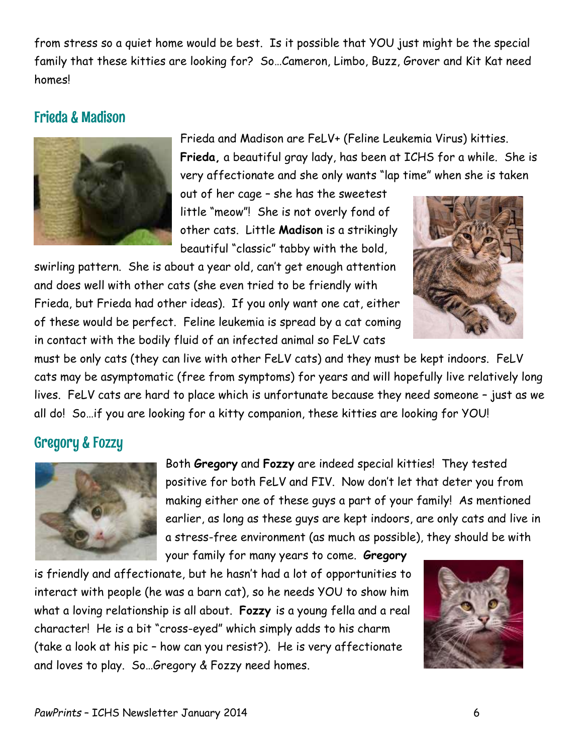from stress so a quiet home would be best. Is it possible that YOU just might be the special family that these kitties are looking for? So…Cameron, Limbo, Buzz, Grover and Kit Kat need homes!

### Frieda & Madison



Frieda and Madison are FeLV+ (Feline Leukemia Virus) kitties. **Frieda,** a beautiful gray lady, has been at ICHS for a while. She is very affectionate and she only wants "lap time" when she is taken

out of her cage – she has the sweetest little "meow"! She is not overly fond of other cats. Little **Madison** is a strikingly beautiful "classic" tabby with the bold,

swirling pattern. She is about a year old, can't get enough attention and does well with other cats (she even tried to be friendly with Frieda, but Frieda had other ideas). If you only want one cat, either of these would be perfect. Feline leukemia is spread by a cat coming in contact with the bodily fluid of an infected animal so FeLV cats



must be only cats (they can live with other FeLV cats) and they must be kept indoors. FeLV cats may be asymptomatic (free from symptoms) for years and will hopefully live relatively long lives. FeLV cats are hard to place which is unfortunate because they need someone – just as we all do! So…if you are looking for a kitty companion, these kitties are looking for YOU!

### Gregory & Fozzy



Both **Gregory** and **Fozzy** are indeed special kitties! They tested positive for both FeLV and FIV. Now don't let that deter you from making either one of these guys a part of your family! As mentioned earlier, as long as these guys are kept indoors, are only cats and live in a stress-free environment (as much as possible), they should be with

your family for many years to come. **Gregory**

is friendly and affectionate, but he hasn't had a lot of opportunities to interact with people (he was a barn cat), so he needs YOU to show him what a loving relationship is all about. **Fozzy** is a young fella and a real character! He is a bit "cross-eyed" which simply adds to his charm (take a look at his pic – how can you resist?). He is very affectionate and loves to play. So…Gregory & Fozzy need homes.

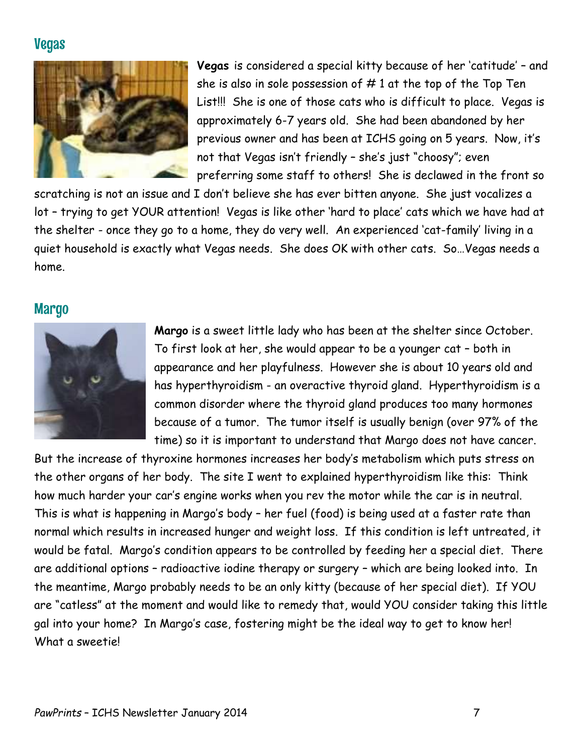### Vegas



**Vegas** is considered a special kitty because of her 'catitude' – and she is also in sole possession of  $# 1$  at the top of the Top Ten List!!! She is one of those cats who is difficult to place. Vegas is approximately 6-7 years old. She had been abandoned by her previous owner and has been at ICHS going on 5 years. Now, it's not that Vegas isn't friendly – she's just "choosy"; even preferring some staff to others! She is declawed in the front so

scratching is not an issue and I don't believe she has ever bitten anyone. She just vocalizes a lot – trying to get YOUR attention! Vegas is like other 'hard to place' cats which we have had at the shelter - once they go to a home, they do very well. An experienced 'cat-family' living in a quiet household is exactly what Vegas needs. She does OK with other cats. So…Vegas needs a home.

### **Margo**



**Margo** is a sweet little lady who has been at the shelter since October. To first look at her, she would appear to be a younger cat – both in appearance and her playfulness. However she is about 10 years old and has hyperthyroidism - an overactive thyroid gland. Hyperthyroidism is a common disorder where the thyroid gland produces too many hormones because of a tumor. The tumor itself is usually benign (over 97% of the time) so it is important to understand that Margo does not have cancer.

But the increase of thyroxine hormones increases her body's metabolism which puts stress on the other organs of her body. The site I went to explained hyperthyroidism like this: Think how much harder your car's engine works when you rev the motor while the car is in neutral. This is what is happening in Margo's body – her fuel (food) is being used at a faster rate than normal which results in increased hunger and weight loss. If this condition is left untreated, it would be fatal. Margo's condition appears to be controlled by feeding her a special diet. There are additional options – radioactive iodine therapy or surgery – which are being looked into. In the meantime, Margo probably needs to be an only kitty (because of her special diet). If YOU are "catless" at the moment and would like to remedy that, would YOU consider taking this little gal into your home? In Margo's case, fostering might be the ideal way to get to know her! What a sweetiel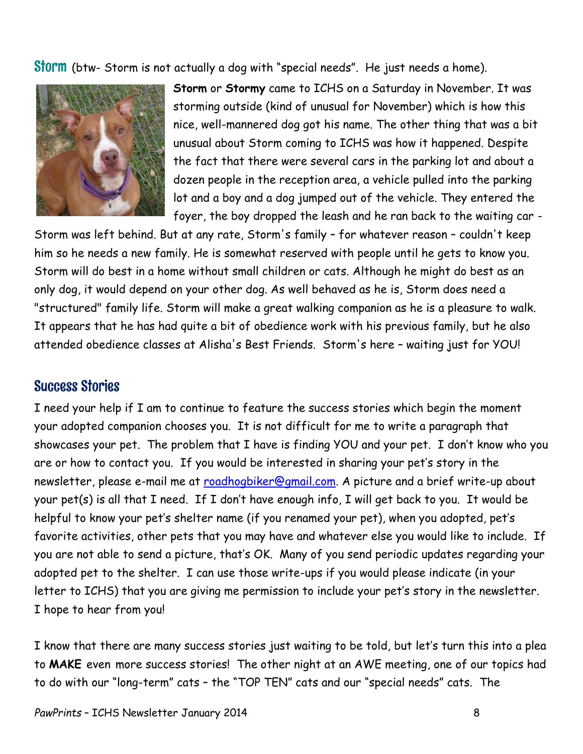Storm (btw- Storm is not actually a dog with "special needs". He just needs a home).



**Storm** or **Stormy** came to ICHS on a Saturday in November. It was storming outside (kind of unusual for November) which is how this nice, well-mannered dog got his name. The other thing that was a bit unusual about Storm coming to ICHS was how it happened. Despite the fact that there were several cars in the parking lot and about a dozen people in the reception area, a vehicle pulled into the parking lot and a boy and a dog jumped out of the vehicle. They entered the foyer, the boy dropped the leash and he ran back to the waiting car -

Storm was left behind. But at any rate, Storm's family – for whatever reason – couldn't keep him so he needs a new family. He is somewhat reserved with people until he gets to know you. Storm will do best in a home without small children or cats. Although he might do best as an only dog, it would depend on your other dog. As well behaved as he is, Storm does need a "structured" family life. Storm will make a great walking companion as he is a pleasure to walk. It appears that he has had quite a bit of obedience work with his previous family, but he also attended obedience classes at Alisha's Best Friends. Storm's here – waiting just for YOU!

### Success Stories

I need your help if I am to continue to feature the success stories which begin the moment your adopted companion chooses you. It is not difficult for me to write a paragraph that showcases your pet. The problem that I have is finding YOU and your pet. I don't know who you are or how to contact you. If you would be interested in sharing your pet's story in the newsletter, please e-mail me at [roadhogbiker@gmail.com.](mailto:roadhogbiker@gmail.com) A picture and a brief write-up about your pet(s) is all that I need. If I don't have enough info, I will get back to you. It would be helpful to know your pet's shelter name (if you renamed your pet), when you adopted, pet's favorite activities, other pets that you may have and whatever else you would like to include. If you are not able to send a picture, that's OK. Many of you send periodic updates regarding your adopted pet to the shelter. I can use those write-ups if you would please indicate (in your letter to ICHS) that you are giving me permission to include your pet's story in the newsletter. I hope to hear from you!

I know that there are many success stories just waiting to be told, but let's turn this into a plea to **MAKE** even more success stories! The other night at an AWE meeting, one of our topics had to do with our "long-term" cats – the "TOP TEN" cats and our "special needs" cats. The